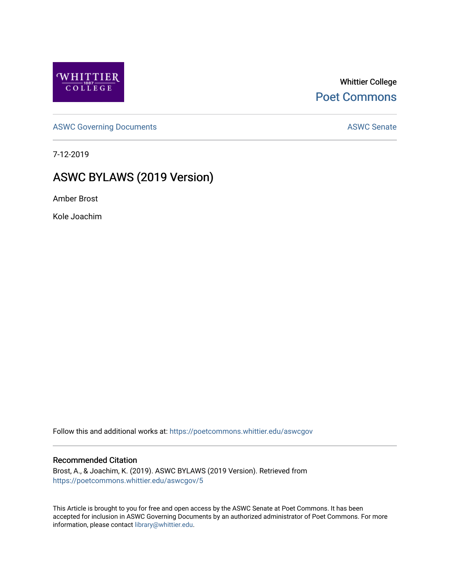

Whittier College [Poet Commons](https://poetcommons.whittier.edu/) 

[ASWC Governing Documents](https://poetcommons.whittier.edu/aswcgov) **ASWC Senate** 

7-12-2019

# ASWC BYLAWS (2019 Version)

Amber Brost

Kole Joachim

Follow this and additional works at: [https://poetcommons.whittier.edu/aswcgov](https://poetcommons.whittier.edu/aswcgov?utm_source=poetcommons.whittier.edu%2Faswcgov%2F5&utm_medium=PDF&utm_campaign=PDFCoverPages) 

#### Recommended Citation

Brost, A., & Joachim, K. (2019). ASWC BYLAWS (2019 Version). Retrieved from [https://poetcommons.whittier.edu/aswcgov/5](https://poetcommons.whittier.edu/aswcgov/5?utm_source=poetcommons.whittier.edu%2Faswcgov%2F5&utm_medium=PDF&utm_campaign=PDFCoverPages) 

This Article is brought to you for free and open access by the ASWC Senate at Poet Commons. It has been accepted for inclusion in ASWC Governing Documents by an authorized administrator of Poet Commons. For more information, please contact [library@whittier.edu.](mailto:library@whittier.edu)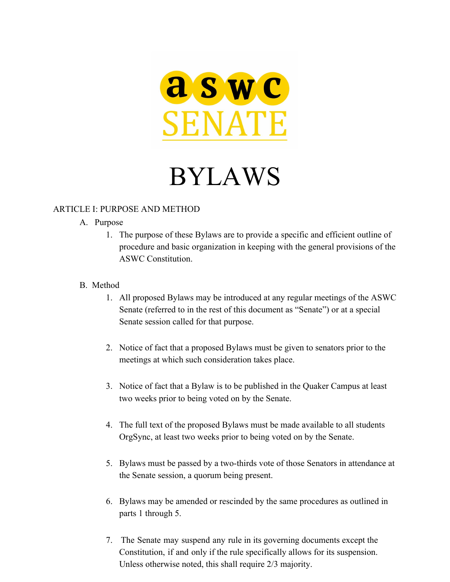

# BYLAWS

### ARTICLE I: PURPOSE AND METHOD

### A. Purpose

1. The purpose of these Bylaws are to provide a specific and efficient outline of procedure and basic organization in keeping with the general provisions of the ASWC Constitution.

### B. Method

- 1. All proposed Bylaws may be introduced at any regular meetings of the ASWC Senate (referred to in the rest of this document as "Senate") or at a special Senate session called for that purpose.
- 2. Notice of fact that a proposed Bylaws must be given to senators prior to the meetings at which such consideration takes place.
- 3. Notice of fact that a Bylaw is to be published in the Quaker Campus at least two weeks prior to being voted on by the Senate.
- 4. The full text of the proposed Bylaws must be made available to all students OrgSync, at least two weeks prior to being voted on by the Senate.
- 5. Bylaws must be passed by a two-thirds vote of those Senators in attendance at the Senate session, a quorum being present.
- 6. Bylaws may be amended or rescinded by the same procedures as outlined in parts 1 through 5.
- 7. The Senate may suspend any rule in its governing documents except the Constitution, if and only if the rule specifically allows for its suspension. Unless otherwise noted, this shall require 2/3 majority.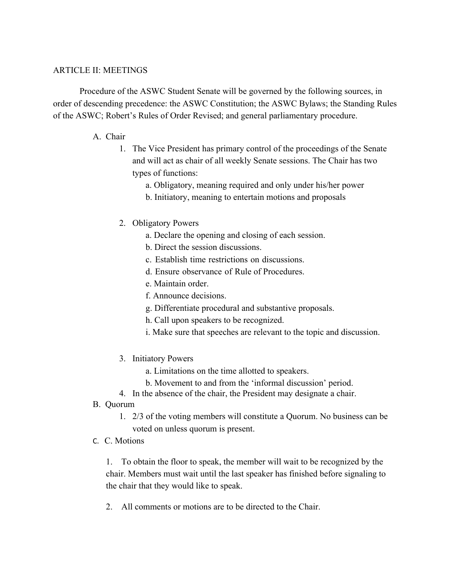#### ARTICLE II: MEETINGS

Procedure of the ASWC Student Senate will be governed by the following sources, in order of descending precedence: the ASWC Constitution; the ASWC Bylaws; the Standing Rules of the ASWC; Robert's Rules of Order Revised; and general parliamentary procedure.

#### A. Chair

- 1. The Vice President has primary control of the proceedings of the Senate and will act as chair of all weekly Senate sessions. The Chair has two types of functions:
	- a. Obligatory, meaning required and only under his/her power
	- b. Initiatory, meaning to entertain motions and proposals
- 2. Obligatory Powers
	- a. Declare the opening and closing of each session.
	- b. Direct the session discussions.
	- c. Establish time restrictions on discussions.
	- d. Ensure observance of Rule of Procedures.
	- e. Maintain order.
	- f. Announce decisions.
	- g. Differentiate procedural and substantive proposals.
	- h. Call upon speakers to be recognized.
	- i. Make sure that speeches are relevant to the topic and discussion.
- 3. Initiatory Powers
	- a. Limitations on the time allotted to speakers.
	- b. Movement to and from the 'informal discussion' period.
- 4. In the absence of the chair, the President may designate a chair.
- B. Quorum
	- 1. 2/3 of the voting members will constitute a Quorum. No business can be voted on unless quorum is present.
- C. C. Motions

1. To obtain the floor to speak, the member will wait to be recognized by the chair. Members must wait until the last speaker has finished before signaling to the chair that they would like to speak.

2. All comments or motions are to be directed to the Chair.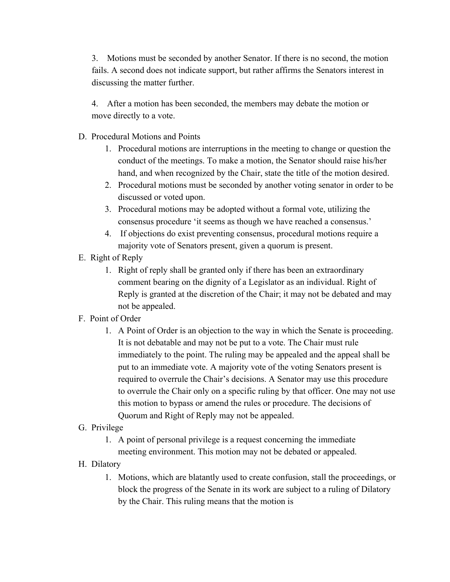3. Motions must be seconded by another Senator. If there is no second, the motion fails. A second does not indicate support, but rather affirms the Senators interest in discussing the matter further.

4. After a motion has been seconded, the members may debate the motion or move directly to a vote.

- D. Procedural Motions and Points
	- 1. Procedural motions are interruptions in the meeting to change or question the conduct of the meetings. To make a motion, the Senator should raise his/her hand, and when recognized by the Chair, state the title of the motion desired.
	- 2. Procedural motions must be seconded by another voting senator in order to be discussed or voted upon.
	- 3. Procedural motions may be adopted without a formal vote, utilizing the consensus procedure 'it seems as though we have reached a consensus.'
	- 4. If objections do exist preventing consensus, procedural motions require a majority vote of Senators present, given a quorum is present.
- E. Right of Reply
	- 1. Right of reply shall be granted only if there has been an extraordinary comment bearing on the dignity of a Legislator as an individual. Right of Reply is granted at the discretion of the Chair; it may not be debated and may not be appealed.
- F. Point of Order
	- 1. A Point of Order is an objection to the way in which the Senate is proceeding. It is not debatable and may not be put to a vote. The Chair must rule immediately to the point. The ruling may be appealed and the appeal shall be put to an immediate vote. A majority vote of the voting Senators present is required to overrule the Chair's decisions. A Senator may use this procedure to overrule the Chair only on a specific ruling by that officer. One may not use this motion to bypass or amend the rules or procedure. The decisions of Quorum and Right of Reply may not be appealed.
- G. Privilege
	- 1. A point of personal privilege is a request concerning the immediate meeting environment. This motion may not be debated or appealed.
- H. Dilatory
	- 1. Motions, which are blatantly used to create confusion, stall the proceedings, or block the progress of the Senate in its work are subject to a ruling of Dilatory by the Chair. This ruling means that the motion is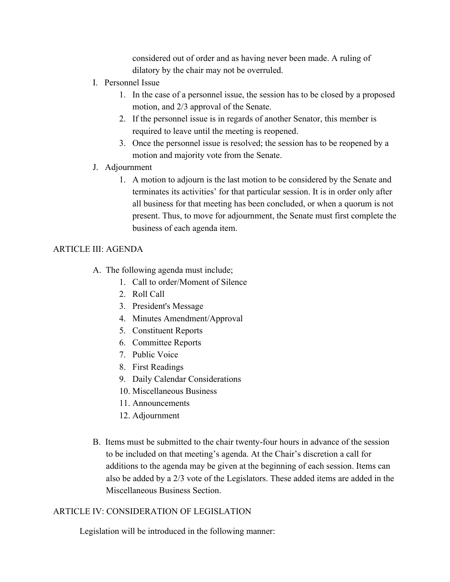considered out of order and as having never been made. A ruling of dilatory by the chair may not be overruled.

- I. Personnel Issue
	- 1. In the case of a personnel issue, the session has to be closed by a proposed motion, and 2/3 approval of the Senate.
	- 2. If the personnel issue is in regards of another Senator, this member is required to leave until the meeting is reopened.
	- 3. Once the personnel issue is resolved; the session has to be reopened by a motion and majority vote from the Senate.
- J. Adjournment
	- 1. A motion to adjourn is the last motion to be considered by the Senate and terminates its activities' for that particular session. It is in order only after all business for that meeting has been concluded, or when a quorum is not present. Thus, to move for adjournment, the Senate must first complete the business of each agenda item.

### ARTICLE III: AGENDA

- A. The following agenda must include;
	- 1. Call to order/Moment of Silence
	- 2. Roll Call
	- 3. President's Message
	- 4. Minutes Amendment/Approval
	- 5. Constituent Reports
	- 6. Committee Reports
	- 7. Public Voice
	- 8. First Readings
	- 9. Daily Calendar Considerations
	- 10. Miscellaneous Business
	- 11. Announcements
	- 12. Adjournment
- B. Items must be submitted to the chair twenty-four hours in advance of the session to be included on that meeting's agenda. At the Chair's discretion a call for additions to the agenda may be given at the beginning of each session. Items can also be added by a 2/3 vote of the Legislators. These added items are added in the Miscellaneous Business Section.

# ARTICLE IV: CONSIDERATION OF LEGISLATION

Legislation will be introduced in the following manner: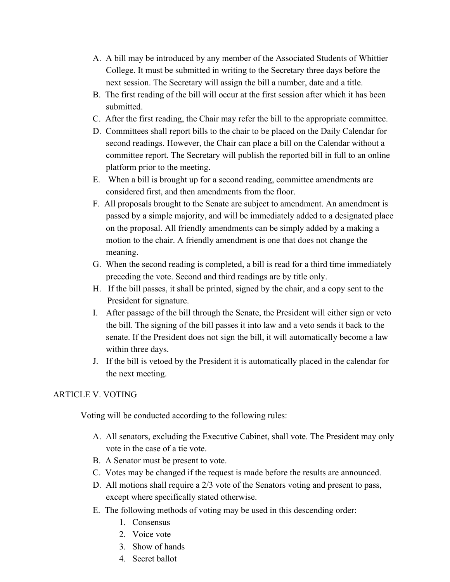- A. A bill may be introduced by any member of the Associated Students of Whittier College. It must be submitted in writing to the Secretary three days before the next session. The Secretary will assign the bill a number, date and a title.
- B. The first reading of the bill will occur at the first session after which it has been submitted.
- C. After the first reading, the Chair may refer the bill to the appropriate committee.
- D. Committees shall report bills to the chair to be placed on the Daily Calendar for second readings. However, the Chair can place a bill on the Calendar without a committee report. The Secretary will publish the reported bill in full to an online platform prior to the meeting.
- E. When a bill is brought up for a second reading, committee amendments are considered first, and then amendments from the floor.
- F. All proposals brought to the Senate are subject to amendment. An amendment is passed by a simple majority, and will be immediately added to a designated place on the proposal. All friendly amendments can be simply added by a making a motion to the chair. A friendly amendment is one that does not change the meaning.
- G. When the second reading is completed, a bill is read for a third time immediately preceding the vote. Second and third readings are by title only.
- H. If the bill passes, it shall be printed, signed by the chair, and a copy sent to the President for signature.
- I. After passage of the bill through the Senate, the President will either sign or veto the bill. The signing of the bill passes it into law and a veto sends it back to the senate. If the President does not sign the bill, it will automatically become a law within three days.
- J. If the bill is vetoed by the President it is automatically placed in the calendar for the next meeting.

# ARTICLE V. VOTING

Voting will be conducted according to the following rules:

- A. All senators, excluding the Executive Cabinet, shall vote. The President may only vote in the case of a tie vote.
- B. A Senator must be present to vote.
- C. Votes may be changed if the request is made before the results are announced.
- D. All motions shall require a 2/3 vote of the Senators voting and present to pass, except where specifically stated otherwise.
- E. The following methods of voting may be used in this descending order:
	- 1. Consensus
	- 2. Voice vote
	- 3. Show of hands
	- 4. Secret ballot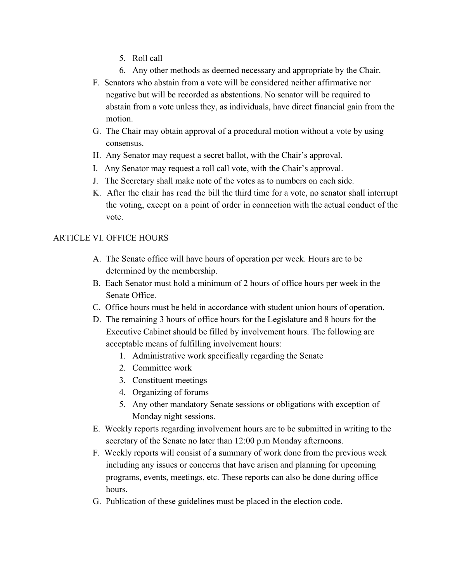- 5. Roll call
- 6. Any other methods as deemed necessary and appropriate by the Chair.
- F. Senators who abstain from a vote will be considered neither affirmative nor negative but will be recorded as abstentions. No senator will be required to abstain from a vote unless they, as individuals, have direct financial gain from the motion.
- G. The Chair may obtain approval of a procedural motion without a vote by using consensus.
- H. Any Senator may request a secret ballot, with the Chair's approval.
- I. Any Senator may request a roll call vote, with the Chair's approval.
- J. The Secretary shall make note of the votes as to numbers on each side.
- K. After the chair has read the bill the third time for a vote, no senator shall interrupt the voting, except on a point of order in connection with the actual conduct of the vote.

# ARTICLE VI. OFFICE HOURS

- A. The Senate office will have hours of operation per week. Hours are to be determined by the membership.
- B. Each Senator must hold a minimum of 2 hours of office hours per week in the Senate Office.
- C. Office hours must be held in accordance with student union hours of operation.
- D. The remaining 3 hours of office hours for the Legislature and 8 hours for the Executive Cabinet should be filled by involvement hours. The following are acceptable means of fulfilling involvement hours:
	- 1. Administrative work specifically regarding the Senate
	- 2. Committee work
	- 3. Constituent meetings
	- 4. Organizing of forums
	- 5. Any other mandatory Senate sessions or obligations with exception of Monday night sessions.
- E. Weekly reports regarding involvement hours are to be submitted in writing to the secretary of the Senate no later than 12:00 p.m Monday afternoons.
- F. Weekly reports will consist of a summary of work done from the previous week including any issues or concerns that have arisen and planning for upcoming programs, events, meetings, etc. These reports can also be done during office hours.
- G. Publication of these guidelines must be placed in the election code.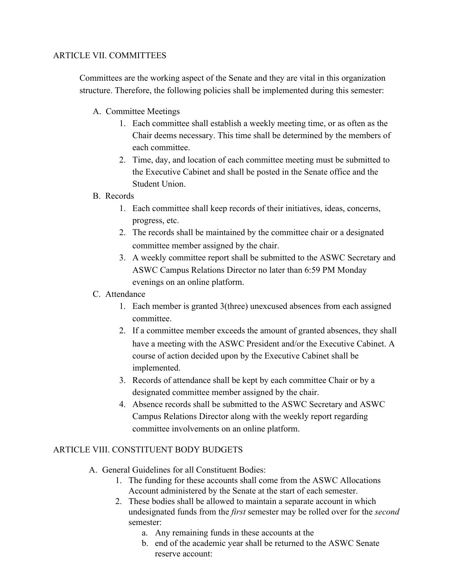### ARTICLE VII. COMMITTEES

Committees are the working aspect of the Senate and they are vital in this organization structure. Therefore, the following policies shall be implemented during this semester:

- A. Committee Meetings
	- 1. Each committee shall establish a weekly meeting time, or as often as the Chair deems necessary. This time shall be determined by the members of each committee.
	- 2. Time, day, and location of each committee meeting must be submitted to the Executive Cabinet and shall be posted in the Senate office and the Student Union.

#### B. Records

- 1. Each committee shall keep records of their initiatives, ideas, concerns, progress, etc.
- 2. The records shall be maintained by the committee chair or a designated committee member assigned by the chair.
- 3. A weekly committee report shall be submitted to the ASWC Secretary and ASWC Campus Relations Director no later than 6:59 PM Monday evenings on an online platform.

#### C. Attendance

- 1. Each member is granted 3(three) unexcused absences from each assigned committee.
- 2. If a committee member exceeds the amount of granted absences, they shall have a meeting with the ASWC President and/or the Executive Cabinet. A course of action decided upon by the Executive Cabinet shall be implemented.
- 3. Records of attendance shall be kept by each committee Chair or by a designated committee member assigned by the chair.
- 4. Absence records shall be submitted to the ASWC Secretary and ASWC Campus Relations Director along with the weekly report regarding committee involvements on an online platform.

# ARTICLE VIII. CONSTITUENT BODY BUDGETS

- A. General Guidelines for all Constituent Bodies:
	- 1. The funding for these accounts shall come from the ASWC Allocations Account administered by the Senate at the start of each semester.
	- 2. These bodies shall be allowed to maintain a separate account in which undesignated funds from the *first* semester may be rolled over for the *second* semester:
		- a. Any remaining funds in these accounts at the
		- b. end of the academic year shall be returned to the ASWC Senate reserve account: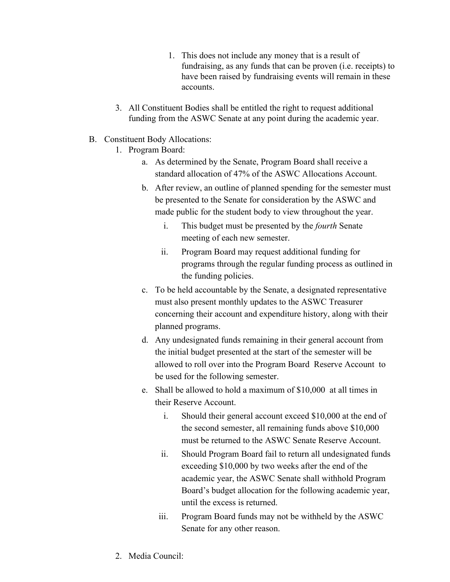- 1. This does not include any money that is a result of fundraising, as any funds that can be proven (i.e. receipts) to have been raised by fundraising events will remain in these accounts.
- 3. All Constituent Bodies shall be entitled the right to request additional funding from the ASWC Senate at any point during the academic year.
- B. Constituent Body Allocations:
	- 1. Program Board:
		- a. As determined by the Senate, Program Board shall receive a standard allocation of 47% of the ASWC Allocations Account.
		- b. After review, an outline of planned spending for the semester must be presented to the Senate for consideration by the ASWC and made public for the student body to view throughout the year.
			- i. This budget must be presented by the *fourth* Senate meeting of each new semester.
			- ii. Program Board may request additional funding for programs through the regular funding process as outlined in the funding policies.
		- c. To be held accountable by the Senate, a designated representative must also present monthly updates to the ASWC Treasurer concerning their account and expenditure history, along with their planned programs.
		- d. Any undesignated funds remaining in their general account from the initial budget presented at the start of the semester will be allowed to roll over into the Program Board Reserve Account to be used for the following semester.
		- e. Shall be allowed to hold a maximum of \$10,000 at all times in their Reserve Account.
			- i. Should their general account exceed \$10,000 at the end of the second semester, all remaining funds above \$10,000 must be returned to the ASWC Senate Reserve Account.
			- ii. Should Program Board fail to return all undesignated funds exceeding \$10,000 by two weeks after the end of the academic year, the ASWC Senate shall withhold Program Board's budget allocation for the following academic year, until the excess is returned.
			- iii. Program Board funds may not be withheld by the ASWC Senate for any other reason.
	- 2. Media Council: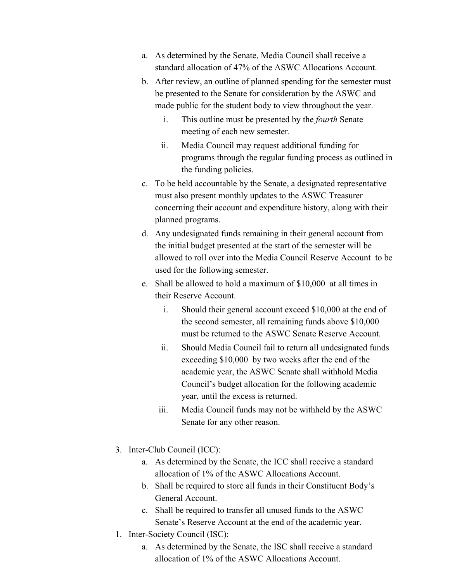- a. As determined by the Senate, Media Council shall receive a standard allocation of 47% of the ASWC Allocations Account.
- b. After review, an outline of planned spending for the semester must be presented to the Senate for consideration by the ASWC and made public for the student body to view throughout the year.
	- i. This outline must be presented by the *fourth* Senate meeting of each new semester.
	- ii. Media Council may request additional funding for programs through the regular funding process as outlined in the funding policies.
- c. To be held accountable by the Senate, a designated representative must also present monthly updates to the ASWC Treasurer concerning their account and expenditure history, along with their planned programs.
- d. Any undesignated funds remaining in their general account from the initial budget presented at the start of the semester will be allowed to roll over into the Media Council Reserve Account to be used for the following semester.
- e. Shall be allowed to hold a maximum of \$10,000 at all times in their Reserve Account.
	- i. Should their general account exceed \$10,000 at the end of the second semester, all remaining funds above \$10,000 must be returned to the ASWC Senate Reserve Account.
	- ii. Should Media Council fail to return all undesignated funds exceeding \$10,000 by two weeks after the end of the academic year, the ASWC Senate shall withhold Media Council's budget allocation for the following academic year, until the excess is returned.
	- iii. Media Council funds may not be withheld by the ASWC Senate for any other reason.
- 3. Inter-Club Council (ICC):
	- a. As determined by the Senate, the ICC shall receive a standard allocation of 1% of the ASWC Allocations Account.
	- b. Shall be required to store all funds in their Constituent Body's General Account.
	- c. Shall be required to transfer all unused funds to the ASWC Senate's Reserve Account at the end of the academic year.
- 1. Inter-Society Council (ISC):
	- a. As determined by the Senate, the ISC shall receive a standard allocation of 1% of the ASWC Allocations Account.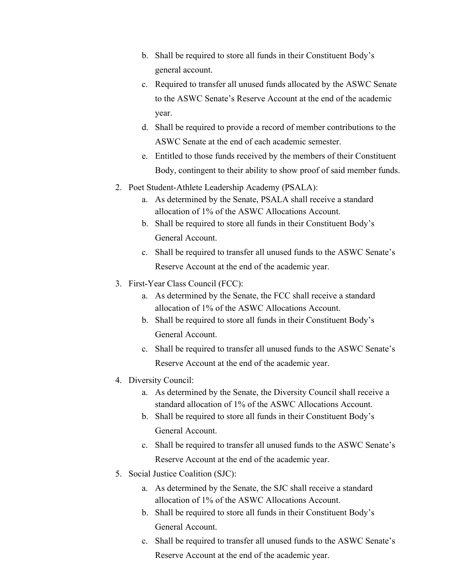- b. Shall be required to store all funds in their Constituent Body's general account.
- c. Required to transfer all unused funds allocated by the ASWC Senate to the ASWC Senate's Reserve Account at the end of the academic year.
- d. Shall be required to provide a record of member contributions to the ASWC Senate at the end of each academic semester.
- e. Entitled to those funds received by the members of their Constituent Body, contingent to their ability to show proof of said member funds.
- 2. Poet Student-Athlete Leadership Academy (PSALA):
	- a. As determined by the Senate, PSALA shall receive a standard allocation of 1% of the ASWC Allocations Account.
	- b. Shall be required to store all funds in their Constituent Body's General Account.
	- c. Shall be required to transfer all unused funds to the ASWC Senate's Reserve Account at the end of the academic year.
- 3. First-Year Class Council (FCC):
	- a. As determined by the Senate, the FCC shall receive a standard allocation of 1% of the ASWC Allocations Account.
	- b. Shall be required to store all funds in their Constituent Body's General Account.
	- c. Shall be required to transfer all unused funds to the ASWC Senate's Reserve Account at the end of the academic year.
- 4. Diversity Council:
	- a. As determined by the Senate, the Diversity Council shall receive a standard allocation of 1% of the ASWC Allocations Account.
	- b. Shall be required to store all funds in their Constituent Body's General Account.
	- c. Shall be required to transfer all unused funds to the ASWC Senate's Reserve Account at the end of the academic year.
- 5. Social Justice Coalition (SJC):
	- a. As determined by the Senate, the SJC shall receive a standard allocation of 1% of the ASWC Allocations Account.
	- b. Shall be required to store all funds in their Constituent Body's General Account.
	- c. Shall be required to transfer all unused funds to the ASWC Senate's Reserve Account at the end of the academic year.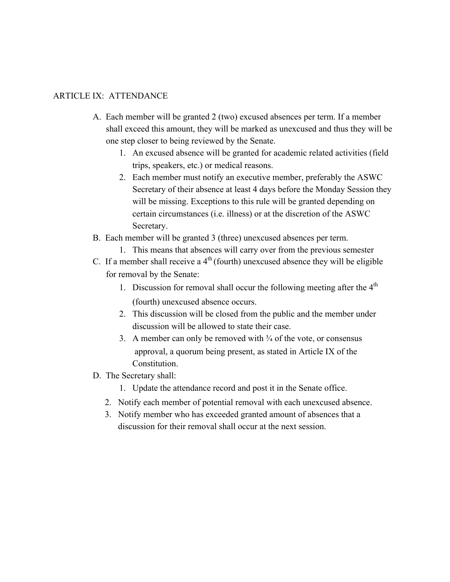#### ARTICLE IX: ATTENDANCE

- A. Each member will be granted 2 (two) excused absences per term. If a member shall exceed this amount, they will be marked as unexcused and thus they will be one step closer to being reviewed by the Senate.
	- 1. An excused absence will be granted for academic related activities (field trips, speakers, etc.) or medical reasons.
	- 2. Each member must notify an executive member, preferably the ASWC Secretary of their absence at least 4 days before the Monday Session they will be missing. Exceptions to this rule will be granted depending on certain circumstances (i.e. illness) or at the discretion of the ASWC Secretary.
- B. Each member will be granted 3 (three) unexcused absences per term.
	- 1. This means that absences will carry over from the previous semester
- C. If a member shall receive a  $4<sup>th</sup>$  (fourth) unexcused absence they will be eligible for removal by the Senate:
	- 1. Discussion for removal shall occur the following meeting after the  $4<sup>th</sup>$ (fourth) unexcused absence occurs.
	- 2. This discussion will be closed from the public and the member under discussion will be allowed to state their case.
	- 3. A member can only be removed with  $\frac{3}{4}$  of the vote, or consensus approval, a quorum being present, as stated in Article IX of the Constitution.
- D. The Secretary shall:
	- 1. Update the attendance record and post it in the Senate office.
	- 2. Notify each member of potential removal with each unexcused absence.
	- 3. Notify member who has exceeded granted amount of absences that a discussion for their removal shall occur at the next session.